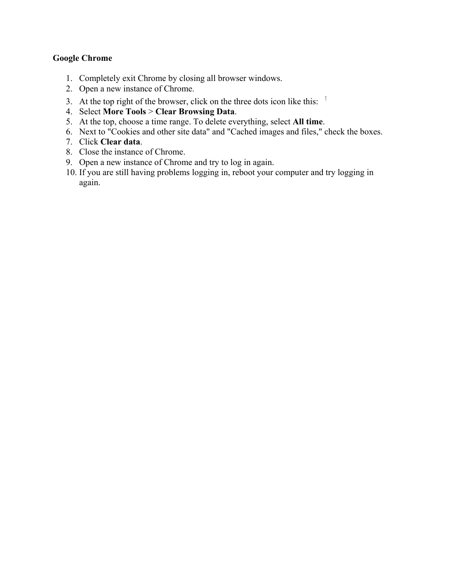### **Google Chrome**

- 1. Completely exit Chrome by closing all browser windows.
- 2. Open a new instance of Chrome.
- 3. At the top right of the browser, click on the three dots icon like this:  $\frac{1}{2}$
- 4. Select **More Tools** > **Clear Browsing Data**.
- 5. At the top, choose a time range. To delete everything, select **All time**.
- 6. Next to "Cookies and other site data" and "Cached images and files," check the boxes.
- 7. Click **Clear data**.
- 8. Close the instance of Chrome.
- 9. Open a new instance of Chrome and try to log in again.
- 10. If you are still having problems logging in, reboot your computer and try logging in again.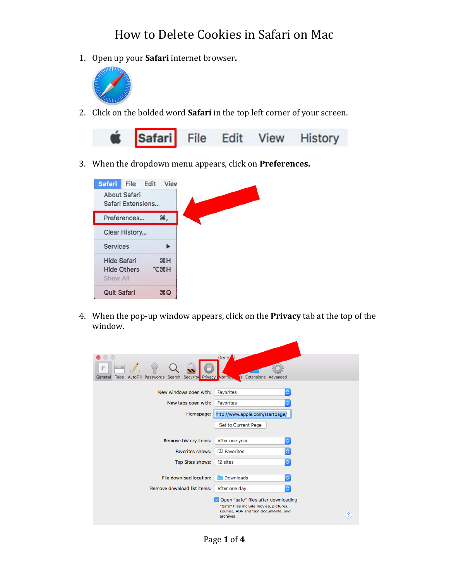## How to Delete Cookies in Safari on Mac

1. Open up your **Safari** internet browser**.**



2. Click on the bolded word **Safari** in the top left corner of your screen.



3. When the dropdown menu appears, click on **Preferences.**



4. When the pop-up window appears, click on the **Privacy** tab at the top of the window.

| $\bigcap$<br>⋒<br>Search Security Privacy Notified<br>AutoFill<br>Passwords<br>General<br>Tabs | Gener<br><b>Extensions Advanced</b><br>is.                                                                                                                   |
|------------------------------------------------------------------------------------------------|--------------------------------------------------------------------------------------------------------------------------------------------------------------|
| New windows open with:                                                                         | ٥<br>Favorites                                                                                                                                               |
| New tabs open with:                                                                            | Favorites<br>٥                                                                                                                                               |
| Homepage:                                                                                      | http://www.apple.com/startpage/                                                                                                                              |
|                                                                                                | Set to Current Page                                                                                                                                          |
|                                                                                                |                                                                                                                                                              |
| Remove history items:                                                                          | ¢<br>After one year                                                                                                                                          |
| Favorites shows:                                                                               | <b>ED</b> Favorites<br>õ                                                                                                                                     |
| <b>Top Sites shows:</b>                                                                        | ¢<br>12 sites                                                                                                                                                |
|                                                                                                |                                                                                                                                                              |
| File download location:                                                                        | Downloads<br>¢                                                                                                                                               |
| Remove download list items:                                                                    | ¢<br>After one day                                                                                                                                           |
|                                                                                                | Open "safe" files after downloading<br>"Safe" files include movies, pictures,<br>sounds, PDF and text documents, and<br>$\overline{\mathbf{?}}$<br>archives. |

Page **1** of **4**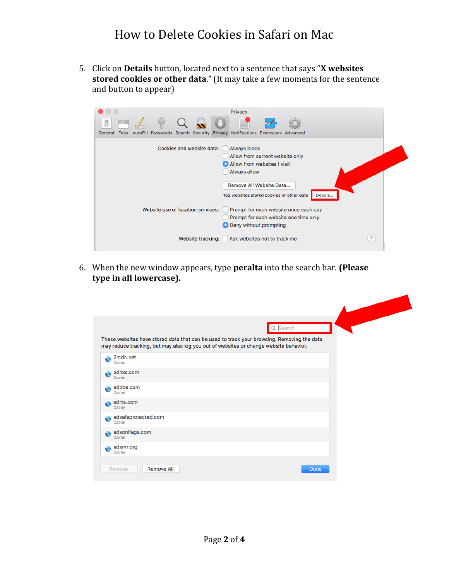### How to Delete Cookies in Safari on Mac

5. Click on **Details** button, located next to a sentence that says "**X websites stored cookies or other data**." (It may take a few moments for the sentence and button to appear)

| Privacy<br>$\bullet$ $\circ$ $\circ$                                                                             |                |  |  |
|------------------------------------------------------------------------------------------------------------------|----------------|--|--|
| CP <sup>III</sup> Z<br>O                                                                                         |                |  |  |
| Passwords Search Security Privacy Notifications Extensions Advanced<br><b>AutoFill</b><br>General<br><b>Tabs</b> |                |  |  |
| Cookies and website data:<br>Always block<br>Allow from current website only                                     |                |  |  |
| Allow from websites I visit                                                                                      |                |  |  |
| Always allow                                                                                                     |                |  |  |
| Remove All Website Data<br>182 websites stored cookies or other data                                             | Details        |  |  |
| Website use of location services:<br>Prompt for each website once each day                                       |                |  |  |
| Prompt for each website one time only                                                                            |                |  |  |
| O Deny without prompting                                                                                         |                |  |  |
| Website tracking: Ask websites not to track me                                                                   | $\overline{?}$ |  |  |

6. When the new window appears, type **peralta** into the search bar. **(Please type in all lowercase).**

|                              |                                                                                                                                                                                     | Q Search |  |
|------------------------------|-------------------------------------------------------------------------------------------------------------------------------------------------------------------------------------|----------|--|
|                              | These websites have stored data that can be used to track your browsing. Removing the data<br>may reduce tracking, but may also log you out of websites or change website behavior. |          |  |
| 2mdn.net<br>Cache            |                                                                                                                                                                                     |          |  |
| adnxs.com<br>Cache           |                                                                                                                                                                                     |          |  |
| adobe.com<br>Cache           |                                                                                                                                                                                     |          |  |
| adrta.com<br>Cache           |                                                                                                                                                                                     |          |  |
| adsafeprotected.com<br>Cache |                                                                                                                                                                                     |          |  |
| adsonflags.com<br>Cache      |                                                                                                                                                                                     |          |  |
| adsrvr.org<br>Cache          |                                                                                                                                                                                     |          |  |
| Remove                       | <b>Remove All</b>                                                                                                                                                                   | Done     |  |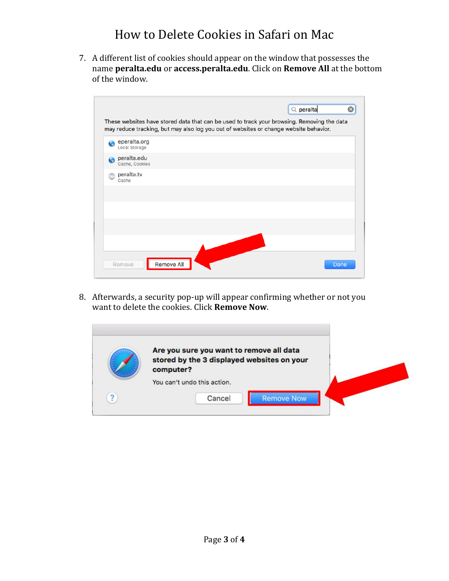7. A different list of cookies should appear on the window that possesses the name **peralta.edu** or **access.peralta.edu**. Click on **Remove All** at the bottom of the window.

|   |                                      |                   |  | $Q$ peralta                                                                                                                                                                         |      |
|---|--------------------------------------|-------------------|--|-------------------------------------------------------------------------------------------------------------------------------------------------------------------------------------|------|
|   |                                      |                   |  | These websites have stored data that can be used to track your browsing. Removing the data<br>may reduce tracking, but may also log you out of websites or change website behavior. |      |
|   | eperalta.org<br><b>Local Storage</b> |                   |  |                                                                                                                                                                                     |      |
| Ø | peralta.edu<br>Cache, Cookies        |                   |  |                                                                                                                                                                                     |      |
|   | peralta.tv<br>Cache                  |                   |  |                                                                                                                                                                                     |      |
|   |                                      |                   |  |                                                                                                                                                                                     |      |
|   |                                      |                   |  |                                                                                                                                                                                     |      |
|   |                                      |                   |  |                                                                                                                                                                                     |      |
|   |                                      |                   |  |                                                                                                                                                                                     |      |
|   | Remove                               | <b>Remove All</b> |  |                                                                                                                                                                                     | Done |

8. Afterwards, a security pop-up will appear confirming whether or not you want to delete the cookies. Click **Remove Now**.

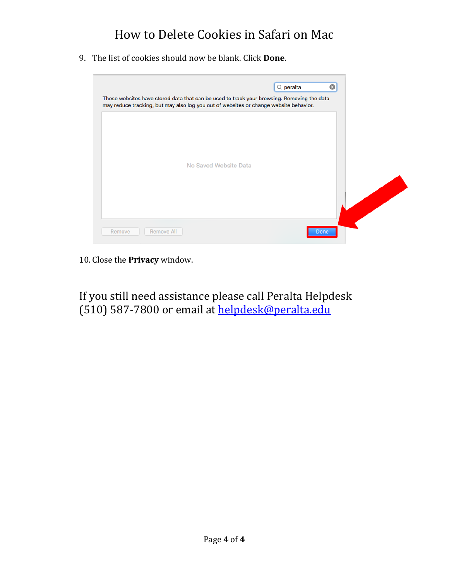# How to Delete Cookies in Safari on Mac

9. The list of cookies should now be blank. Click **Done**.



10. Close the **Privacy** window.

If you still need assistance please call Peralta Helpdesk (510) 587-7800 or email at [helpdesk@peralta.edu](mailto:helpdesk@peralta.edu)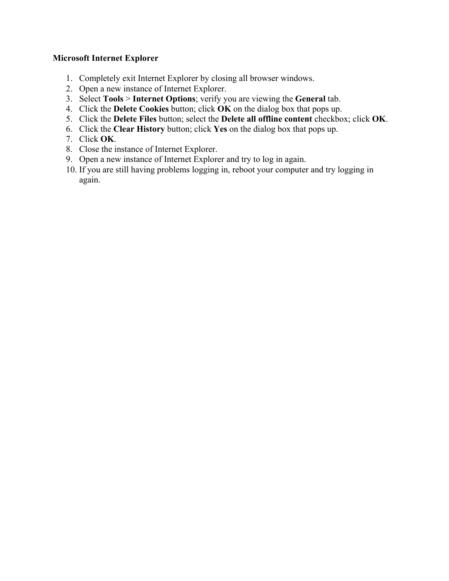### **Microsoft Internet Explorer**

- 1. Completely exit Internet Explorer by closing all browser windows.
- 2. Open a new instance of Internet Explorer.
- 3. Select **Tools** > **Internet Options**; verify you are viewing the **General** tab.
- 4. Click the **Delete Cookies** button; click **OK** on the dialog box that pops up.
- 5. Click the **Delete Files** button; select the **Delete all offline content** checkbox; click **OK**.
- 6. Click the **Clear History** button; click **Yes** on the dialog box that pops up.
- 7. Click **OK**.
- 8. Close the instance of Internet Explorer.
- 9. Open a new instance of Internet Explorer and try to log in again.
- 10. If you are still having problems logging in, reboot your computer and try logging in again.